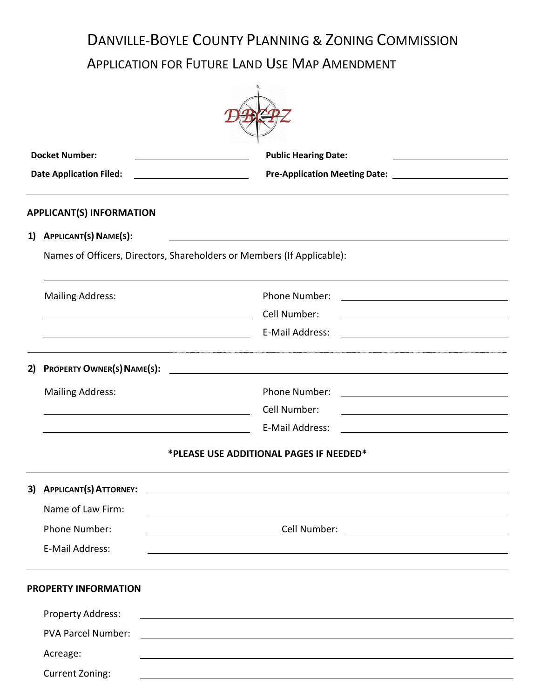# DANVILLE-BOYLE COUNTY PLANNING & ZONING COMMISSION

APPLICATION FOR FUTURE LAND USE MAP AMENDMENT

|    | <b>Docket Number:</b>                                                  | <b>Public Hearing Date:</b>                                                                                            |  |
|----|------------------------------------------------------------------------|------------------------------------------------------------------------------------------------------------------------|--|
|    | <b>Date Application Filed:</b>                                         | <u> 1980 - Johann Barbara, martin a</u>                                                                                |  |
|    | <b>APPLICANT(S) INFORMATION</b>                                        |                                                                                                                        |  |
| 1) | APPLICANT(S) NAME(S):                                                  |                                                                                                                        |  |
|    | Names of Officers, Directors, Shareholders or Members (If Applicable): |                                                                                                                        |  |
|    | <b>Mailing Address:</b>                                                | Phone Number:                                                                                                          |  |
|    |                                                                        | Cell Number:                                                                                                           |  |
|    | <u> 1989 - Johann Barnett, fransk politiker (d. 1989)</u>              | E-Mail Address:                                                                                                        |  |
| 2) | <b>PROPERTY OWNER(S) NAME(S):</b>                                      | <u>and the state of the state of the state of the state of the state of the state of the state of the state of th</u>  |  |
|    | <b>Mailing Address:</b>                                                | Phone Number:                                                                                                          |  |
|    |                                                                        | Cell Number:                                                                                                           |  |
|    |                                                                        | E-Mail Address:                                                                                                        |  |
|    |                                                                        | *PLEASE USE ADDITIONAL PAGES IF NEEDED*                                                                                |  |
| 3) | <b>APPLICANT(S) ATTORNEY:</b>                                          |                                                                                                                        |  |
|    | Name of Law Firm:                                                      |                                                                                                                        |  |
|    | Phone Number:                                                          |                                                                                                                        |  |
|    | E-Mail Address:                                                        | <u> 1989 - Johann John Stone, Amerikaansk politiker (* 1908)</u>                                                       |  |
|    | <b>PROPERTY INFORMATION</b>                                            |                                                                                                                        |  |
|    | Property Address:                                                      | <u> 1989 - Johann Stoff, deutscher Stoffen und der Stoffen und der Stoffen und der Stoffen und der Stoffen und der</u> |  |
|    | <b>PVA Parcel Number:</b>                                              | <u> 1989 - Johann Stoff, deutscher Stoffen und der Stoffen und der Stoffen und der Stoffen und der Stoffen und der</u> |  |
|    | Acreage:                                                               |                                                                                                                        |  |
|    | <b>Current Zoning:</b>                                                 | <u> 1989 - Johann Stoff, deutscher Stoffen und der Stoffen und der Stoffen und der Stoffen und der Stoffen und der</u> |  |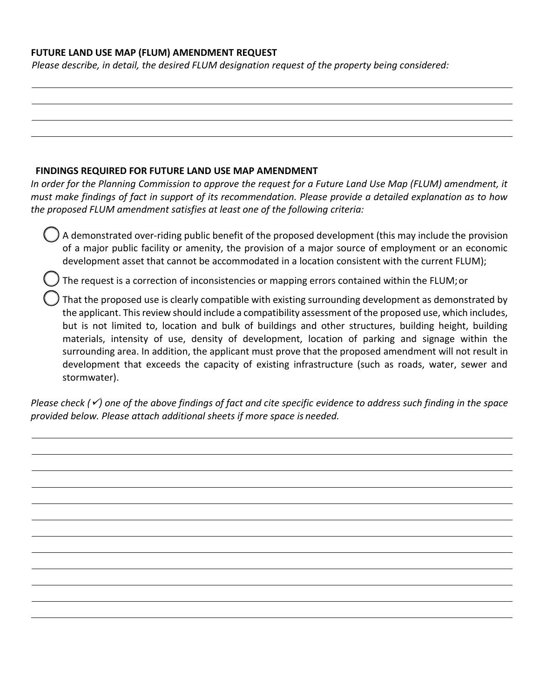## **FUTURE LAND USE MAP (FLUM) AMENDMENT REQUEST**

*Please describe, in detail, the desired FLUM designation request of the property being considered:*

### **FINDINGS REQUIRED FOR FUTURE LAND USE MAP AMENDMENT**

*In order for the Planning Commission to approve the request for a Future Land Use Map (FLUM) amendment, it must make findings of fact in support of its recommendation. Please provide a detailed explanation as to how the proposed FLUM amendment satisfies at least one of the following criteria:*

 A demonstrated over-riding public benefit of the proposed development (this may include the provision of a major public facility or amenity, the provision of a major source of employment or an economic development asset that cannot be accommodated in a location consistent with the current FLUM);

The request is a correction of inconsistencies or mapping errors contained within the FLUM;or

 That the proposed use is clearly compatible with existing surrounding development as demonstrated by the applicant. This review should include a compatibility assessment of the proposed use, which includes, but is not limited to, location and bulk of buildings and other structures, building height, building materials, intensity of use, density of development, location of parking and signage within the surrounding area. In addition, the applicant must prove that the proposed amendment will not result in development that exceeds the capacity of existing infrastructure (such as roads, water, sewer and stormwater).

*Please check (*✓*) one of the above findings of fact and cite specific evidence to address such finding in the space provided below. Please attach additional sheets if more space is needed.*